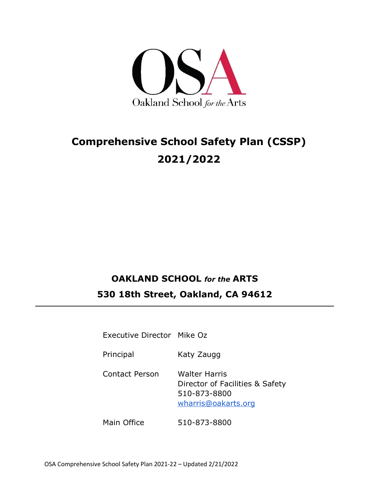

# **Comprehensive School Safety Plan (CSSP) 2021/2022**

# **OAKLAND SCHOOL** *for the* **ARTS 530 18th Street, Oakland, CA 94612**

Executive Director Mike Oz

Principal Katy Zaugg

Contact Person Walter Harris Director of Facilities & Safety 510-873-8800 wharris@oakarts.org

Main Office 510-873-8800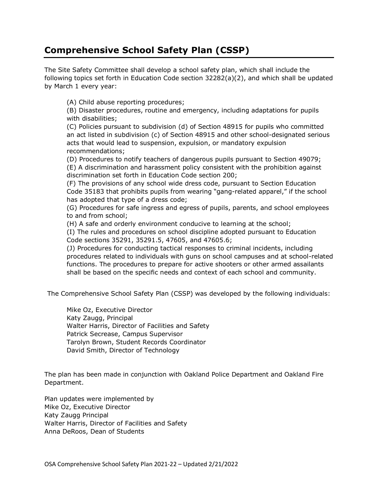# **Comprehensive School Safety Plan (CSSP)**

The Site Safety Committee shall develop a school safety plan, which shall include the following topics set forth in Education Code section 32282(a)(2), and which shall be updated by March 1 every year:

(A) Child abuse reporting procedures;

(B) Disaster procedures, routine and emergency, including adaptations for pupils with disabilities;

(C) Policies pursuant to subdivision (d) of Section 48915 for pupils who committed an act listed in subdivision (c) of Section 48915 and other school-designated serious acts that would lead to suspension, expulsion, or mandatory expulsion recommendations;

(D) Procedures to notify teachers of dangerous pupils pursuant to Section 49079; (E) A discrimination and harassment policy consistent with the prohibition against discrimination set forth in Education Code section 200;

(F) The provisions of any school wide dress code, pursuant to Section Education Code 35183 that prohibits pupils from wearing "gang-related apparel," if the school has adopted that type of a dress code;

(G) Procedures for safe ingress and egress of pupils, parents, and school employees to and from school;

(H) A safe and orderly environment conducive to learning at the school;

(I) The rules and procedures on school discipline adopted pursuant to Education Code sections 35291, 35291.5, 47605, and 47605.6;

(J) Procedures for conducting tactical responses to criminal incidents, including procedures related to individuals with guns on school campuses and at school-related functions. The procedures to prepare for active shooters or other armed assailants shall be based on the specific needs and context of each school and community.

The Comprehensive School Safety Plan (CSSP) was developed by the following individuals:

Mike Oz, Executive Director Katy Zaugg, Principal Walter Harris, Director of Facilities and Safety Patrick Secrease, Campus Supervisor Tarolyn Brown, Student Records Coordinator David Smith, Director of Technology

The plan has been made in conjunction with Oakland Police Department and Oakland Fire Department.

Plan updates were implemented by Mike Oz, Executive Director Katy Zaugg Principal Walter Harris, Director of Facilities and Safety Anna DeRoos, Dean of Students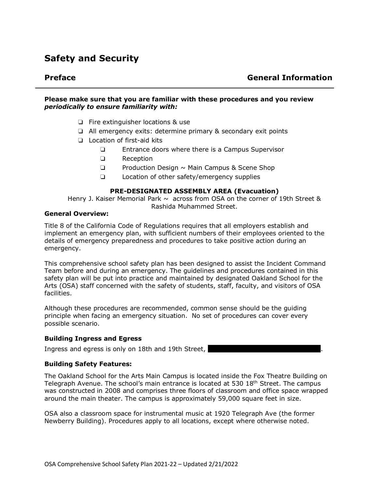# **Safety and Security**

### **Please make sure that you are familiar with these procedures and you review**  *periodically to ensure familiarity with:*

- ❏ Fire extinguisher locations & use
- ❏ All emergency exits: determine primary & secondary exit points
- ❏ Location of first-aid kits
	- ❏ Entrance doors where there is a Campus Supervisor
	- ❏ Reception
	- ❏ Production Design ~ Main Campus & Scene Shop
	- ❏ Location of other safety/emergency supplies

### **PRE-DESIGNATED ASSEMBLY AREA (Evacuation)**

Henry J. Kaiser Memorial Park  $\sim$  across from OSA on the corner of 19th Street & Rashida Muhammed Street.

### **General Overview:**

Title 8 of the California Code of Regulations requires that all employers establish and implement an emergency plan, with sufficient numbers of their employees oriented to the details of emergency preparedness and procedures to take positive action during an emergency.

This comprehensive school safety plan has been designed to assist the Incident Command Team before and during an emergency. The guidelines and procedures contained in this safety plan will be put into practice and maintained by designated Oakland School for the Arts (OSA) staff concerned with the safety of students, staff, faculty, and visitors of OSA facilities.

Although these procedures are recommended, common sense should be the guiding principle when facing an emergency situation. No set of procedures can cover every possible scenario.

### **Building Ingress and Egress**

Ingress and egress is only on 18th and 19th Street,

### **Building Safety Features:**

The Oakland School for the Arts Main Campus is located inside the Fox Theatre Building on Telegraph Avenue. The school's main entrance is located at 530 18<sup>th</sup> Street. The campus was constructed in 2008 and comprises three floors of classroom and office space wrapped around the main theater. The campus is approximately 59,000 square feet in size.

OSA also a classroom space for instrumental music at 1920 Telegraph Ave (the former Newberry Building). Procedures apply to all locations, except where otherwise noted.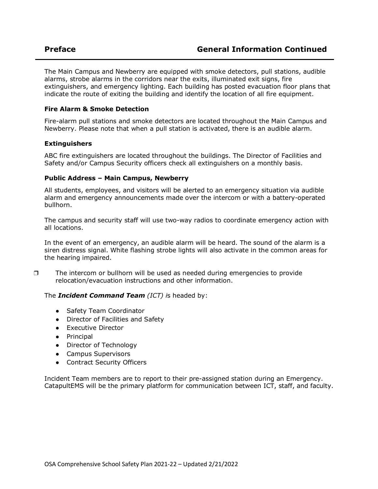The Main Campus and Newberry are equipped with smoke detectors, pull stations, audible alarms, strobe alarms in the corridors near the exits, illuminated exit signs, fire extinguishers, and emergency lighting. Each building has posted evacuation floor plans that indicate the route of exiting the building and identify the location of all fire equipment.

### **Fire Alarm & Smoke Detection**

Fire-alarm pull stations and smoke detectors are located throughout the Main Campus and Newberry. Please note that when a pull station is activated, there is an audible alarm.

### **Extinguishers**

ABC fire extinguishers are located throughout the buildings. The Director of Facilities and Safety and/or Campus Security officers check all extinguishers on a monthly basis.

### **Public Address – Main Campus, Newberry**

All students, employees, and visitors will be alerted to an emergency situation via audible alarm and emergency announcements made over the intercom or with a battery-operated bullhorn.

The campus and security staff will use two-way radios to coordinate emergency action with all locations.

In the event of an emergency, an audible alarm will be heard. The sound of the alarm is a siren distress signal. White flashing strobe lights will also activate in the common areas for the hearing impaired.

❒ The intercom or bullhorn will be used as needed during emergencies to provide relocation/evacuation instructions and other information.

### The *Incident Command Team (ICT) i*s headed by:

- Safety Team Coordinator
- Director of Facilities and Safety
- Executive Director
- Principal
- Director of Technology
- Campus Supervisors
- Contract Security Officers

Incident Team members are to report to their pre-assigned station during an Emergency. CatapultEMS will be the primary platform for communication between ICT, staff, and faculty.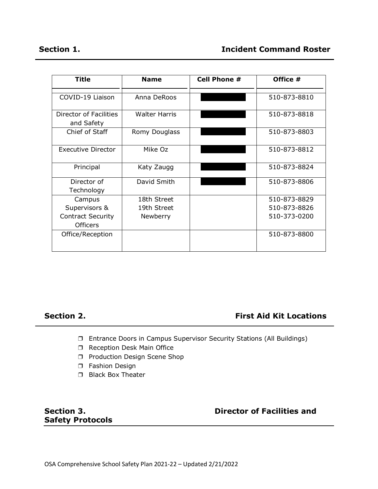| <b>Title</b>                         | <b>Name</b>          | Cell Phone # | Office #     |
|--------------------------------------|----------------------|--------------|--------------|
|                                      |                      |              |              |
| COVID-19 Liaison                     | Anna DeRoos          |              | 510-873-8810 |
| Director of Facilities<br>and Safety | <b>Walter Harris</b> |              | 510-873-8818 |
| Chief of Staff                       | Romy Douglass        |              | 510-873-8803 |
| Executive Director                   | Mike Oz              |              | 510-873-8812 |
| Principal                            | Katy Zaugg           |              | 510-873-8824 |
| Director of                          | David Smith          |              | 510-873-8806 |
| Technology                           |                      |              |              |
| Campus                               | 18th Street          |              | 510-873-8829 |
| Supervisors &                        | 19th Street          |              | 510-873-8826 |
| <b>Contract Security</b>             | Newberry             |              | 510-373-0200 |
| <b>Officers</b>                      |                      |              |              |
| Office/Reception                     |                      |              | 510-873-8800 |

# **Section 2. First Aid Kit Locations**

- ❒ Entrance Doors in Campus Supervisor Security Stations (All Buildings)
- ❒ Reception Desk Main Office
- ❒ Production Design Scene Shop
- ❒ Fashion Design
- ❒ Black Box Theater

**Safety Protocols** 

# **Section 3. Director of Facilities and**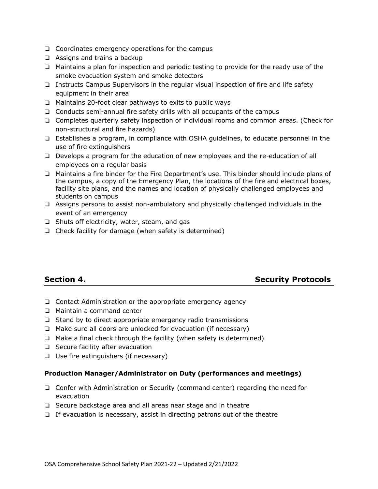- ❏ Coordinates emergency operations for the campus
- ❏ Assigns and trains a backup
- ❏ Maintains a plan for inspection and periodic testing to provide for the ready use of the smoke evacuation system and smoke detectors
- ❏ Instructs Campus Supervisors in the regular visual inspection of fire and life safety equipment in their area
- ❏ Maintains 20-foot clear pathways to exits to public ways
- ❏ Conducts semi-annual fire safety drills with all occupants of the campus
- ❏ Completes quarterly safety inspection of individual rooms and common areas. (Check for non-structural and fire hazards)
- ❏ Establishes a program, in compliance with OSHA guidelines, to educate personnel in the use of fire extinguishers
- ❏ Develops a program for the education of new employees and the re-education of all employees on a regular basis
- ❏ Maintains a fire binder for the Fire Department's use. This binder should include plans of the campus, a copy of the Emergency Plan, the locations of the fire and electrical boxes, facility site plans, and the names and location of physically challenged employees and students on campus
- ❏ Assigns persons to assist non-ambulatory and physically challenged individuals in the event of an emergency
- ❏ Shuts off electricity, water, steam, and gas
- ❏ Check facility for damage (when safety is determined)

# **Section 4. Security Protocols**

- ❏ Contact Administration or the appropriate emergency agency
- ❏ Maintain a command center
- ❏ Stand by to direct appropriate emergency radio transmissions
- ❏ Make sure all doors are unlocked for evacuation (if necessary)
- ❏ Make a final check through the facility (when safety is determined)
- ❏ Secure facility after evacuation
- ❏ Use fire extinguishers (if necessary)

### **Production Manager/Administrator on Duty (performances and meetings)**

- ❏ Confer with Administration or Security (command center) regarding the need for evacuation
- ❏ Secure backstage area and all areas near stage and in theatre
- ❏ If evacuation is necessary, assist in directing patrons out of the theatre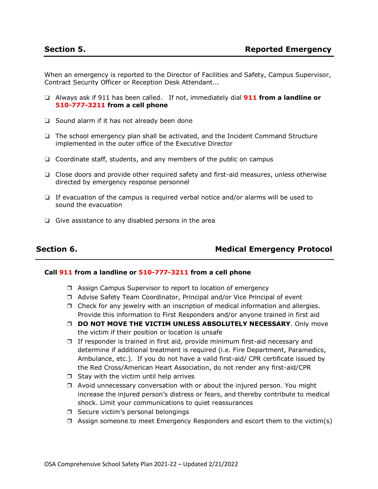When an emergency is reported to the Director of Facilities and Safety, Campus Supervisor, Contract Security Officer or Reception Desk Attendant...

- ❏ Always ask if 911 has been called. If not, immediately dial **911 from a landline or 510-777-3211 from a cell phone**
- ❏ Sound alarm if it has not already been done
- ❏ The school emergency plan shall be activated, and the Incident Command Structure implemented in the outer office of the Executive Director
- ❏ Coordinate staff, students, and any members of the public on campus
- ❏ Close doors and provide other required safety and first-aid measures, unless otherwise directed by emergency response personnel
- ❏ If evacuation of the campus is required verbal notice and/or alarms will be used to sound the evacuation
- ❏ Give assistance to any disabled persons in the area

# **Section 6.** Medical Emergency Protocol

#### **Call 911 from a landline or 510-777-3211 from a cell phone**

- ❒ Assign Campus Supervisor to report to location of emergency
- ❒ Advise Safety Team Coordinator, Principal and/or Vice Principal of event
- ❒ Check for any jewelry with an inscription of medical information and allergies. Provide this information to First Responders and/or anyone trained in first aid
- ❒ **DO NOT MOVE THE VICTIM UNLESS ABSOLUTELY NECESSARY**. Only move the victim if their position or location is unsafe
- ❒ If responder is trained in first aid, provide minimum first-aid necessary and determine if additional treatment is required (i.e. Fire Department, Paramedics, Ambulance, etc.). If you do not have a valid first-aid/ CPR certificate issued by the Red Cross/American Heart Association, do not render any first-aid/CPR
- ❒ Stay with the victim until help arrives
- ❒ Avoid unnecessary conversation with or about the injured person. You might increase the injured person's distress or fears, and thereby contribute to medical shock. Limit your communications to quiet reassurances
- ❒ Secure victim's personal belongings
- ❒ Assign someone to meet Emergency Responders and escort them to the victim(s)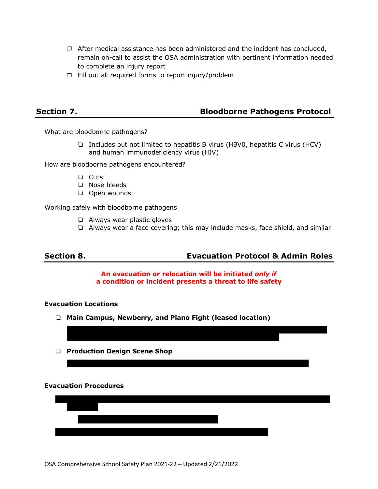- ❒ After medical assistance has been administered and the incident has concluded, remain on-call to assist the OSA administration with pertinent information needed to complete an injury report
- ❒ Fill out all required forms to report injury/problem

# **Section 7. Bloodborne Pathogens Protocol**

What are bloodborne pathogens?

❏ Includes but not limited to hepatitis B virus (HBV0, hepatitis C virus (HCV) and human immunodeficiency virus (HIV)

How are bloodborne pathogens encountered?

- ❏ Cuts
- ❏ Nose bleeds
- ❏ Open wounds

Working safely with bloodborne pathogens

- ❏ Always wear plastic gloves
- ❏ Always wear a face covering; this may include masks, face shield, and similar

# **Section 8. Evacuation Protocol & Admin Roles**

**An evacuation or relocation will be initiated** *only if* **a condition or incident presents a threat to life safety**

Exit via the nearest safe exit. Assemble at Henry J. Kaiser Memorial Park ~ across

#### **Evacuation Locations**

- ❏ **Main Campus, Newberry, and Piano Fight (leased location)**
- ❏ **Production Design Scene Shop**

#### **Evacuation Procedures**

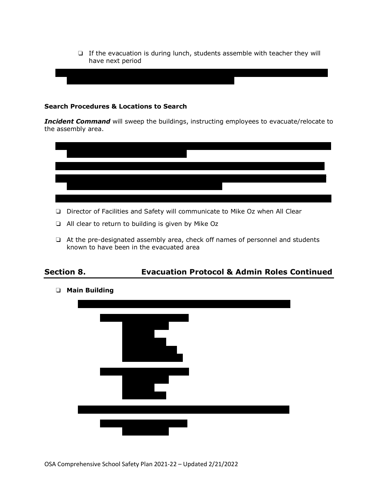❏ If the evacuation is during lunch, students assemble with teacher they will have next period

❏ *At the assembly area, employees will use CatapultEMS to record the names* 

#### **Search Procedures & Locations to Search**

**Incident Command** will sweep the buildings, instructing employees to evacuate/relocate to the assembly area.



- ❏ Director of Facilities and Safety will communicate to Mike Oz when All Clear
- ❏ All clear to return to building is given by Mike Oz
- ❏ At the pre-designated assembly area, check off names of personnel and students known to have been in the evacuated area

# **Section 8. Evacuation Protocol & Admin Roles Continued**

❏ **Main Building** 

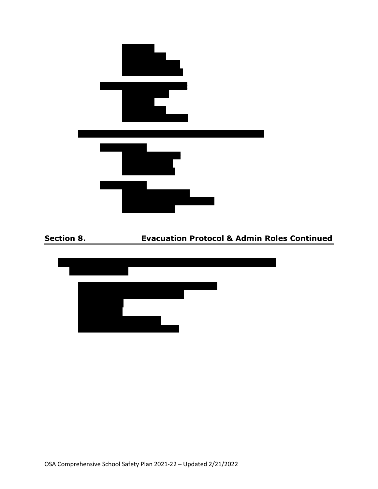



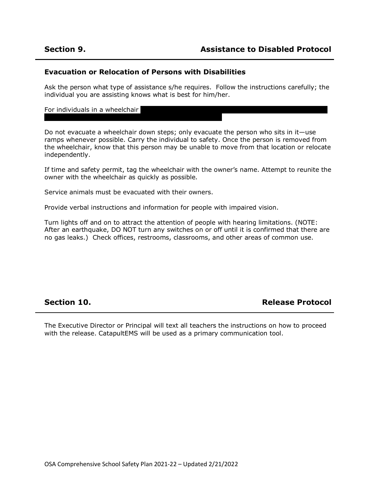### **Evacuation or Relocation of Persons with Disabilities**

Ask the person what type of assistance s/he requires. Follow the instructions carefully; the individual you are assisting knows what is best for him/her.

For individuals in a wheelchair

Do not evacuate a wheelchair down steps; only evacuate the person who sits in it—use ramps whenever possible. Carry the individual to safety. Once the person is removed from the wheelchair, know that this person may be unable to move from that location or relocate independently.

If time and safety permit, tag the wheelchair with the owner's name. Attempt to reunite the owner with the wheelchair as quickly as possible.

Service animals must be evacuated with their owners.

Provide verbal instructions and information for people with impaired vision.

Turn lights off and on to attract the attention of people with hearing limitations. (NOTE: After an earthquake, DO NOT turn any switches on or off until it is confirmed that there are no gas leaks.) Check offices, restrooms, classrooms, and other areas of common use.

**Section 10. Release Protocol Release Protocol** 

The Executive Director or Principal will text all teachers the instructions on how to proceed with the release. CatapultEMS will be used as a primary communication tool.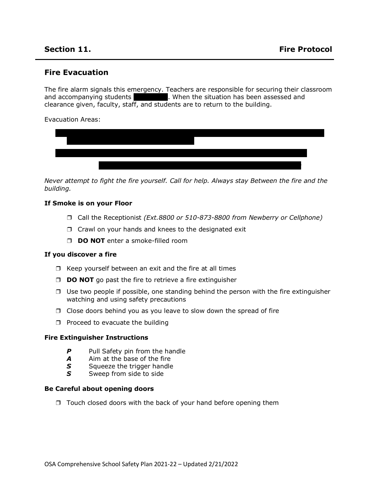# **Fire Evacuation**

The fire alarm signals this emergency. Teachers are responsible for securing their classroom and accompanying students to the park. When the situation has been assessed and clearance given, faculty, staff, and students are to return to the building.

Evacuation Areas:



*Never attempt to fight the fire yourself. Call for help. Always stay Between the fire and the building.*

### **If Smoke is on your Floor**

- ❒ Call the Receptionist *(Ext.8800 or 510-873-8800 from Newberry or Cellphone)*
- ❒ Crawl on your hands and knees to the designated exit
- ❒ **DO NOT** enter a smoke-filled room

### **If you discover a fire**

- ❒ Keep yourself between an exit and the fire at all times
- ❒ **DO NOT** go past the fire to retrieve a fire extinguisher
- ❒ Use two people if possible, one standing behind the person with the fire extinguisher watching and using safety precautions
- ❒ Close doors behind you as you leave to slow down the spread of fire
- ❒ Proceed to evacuate the building

### **Fire Extinguisher Instructions**

- **P** Pull Safety pin from the handle
- *A* Aim at the base of the fire
- **S** Squeeze the trigger handle
- **S** Sweep from side to side

### **Be Careful about opening doors**

❒ Touch closed doors with the back of your hand before opening them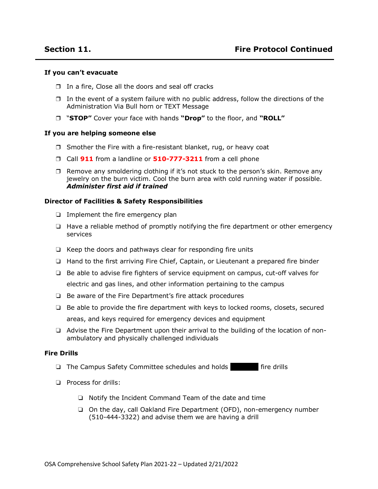### **If you can't evacuate**

- ❒ In a fire, Close all the doors and seal off cracks
- ❒ In the event of a system failure with no public address, follow the directions of the Administration Via Bull horn or TEXT Message
- ❒ "**STOP"** Cover your face with hands **"Drop"** to the floor, and **"ROLL"**

#### **If you are helping someone else**

- ❒ Smother the Fire with a fire-resistant blanket, rug, or heavy coat
- ❒ Call **911** from a landline or **510-777-3211** from a cell phone
- ❒ Remove any smoldering clothing if it's not stuck to the person's skin. Remove any jewelry on the burn victim. Cool the burn area with cold running water if possible. *Administer first aid if trained*

### **Director of Facilities & Safety Responsibilities**

- ❏ Implement the fire emergency plan
- ❏ Have a reliable method of promptly notifying the fire department or other emergency services
- ❏ Keep the doors and pathways clear for responding fire units
- ❏ Hand to the first arriving Fire Chief, Captain, or Lieutenant a prepared fire binder
- ❏ Be able to advise fire fighters of service equipment on campus, cut-off valves for electric and gas lines, and other information pertaining to the campus
- ❏ Be aware of the Fire Department's fire attack procedures
- ❏ Be able to provide the fire department with keys to locked rooms, closets, secured areas, and keys required for emergency devices and equipment
- ❏ Advise the Fire Department upon their arrival to the building of the location of nonambulatory and physically challenged individuals

### **Fire Drills**

- ❏ The Campus Safety Committee schedules and holds quarterly fire drills
- ❏ Process for drills:
	- ❏ Notify the Incident Command Team of the date and time
	- ❏ On the day, call Oakland Fire Department (OFD), non-emergency number (510-444-3322) and advise them we are having a drill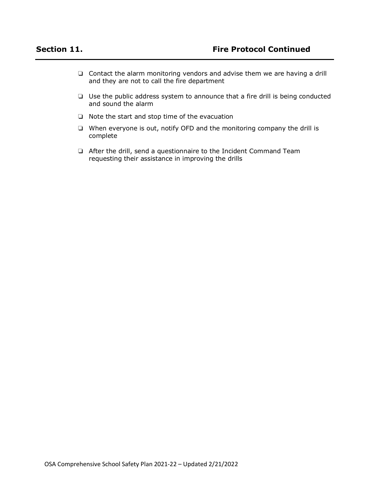- ❏ Contact the alarm monitoring vendors and advise them we are having a drill and they are not to call the fire department
- ❏ Use the public address system to announce that a fire drill is being conducted and sound the alarm
- ❏ Note the start and stop time of the evacuation
- ❏ When everyone is out, notify OFD and the monitoring company the drill is complete
- ❏ After the drill, send a questionnaire to the Incident Command Team requesting their assistance in improving the drills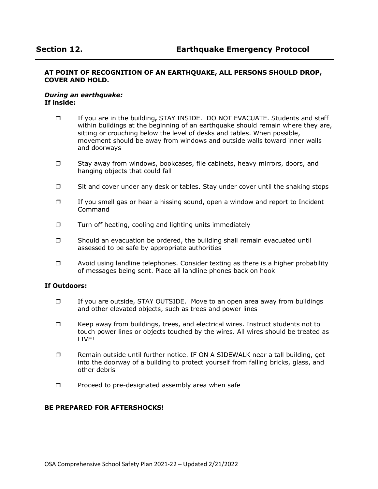### **AT POINT OF RECOGNITION OF AN EARTHQUAKE, ALL PERSONS SHOULD DROP, COVER AND HOLD.**

#### *During an earthquake:* **If inside:**

- ❒ If you are in the building**,** STAY INSIDE. DO NOT EVACUATE. Students and staff within buildings at the beginning of an earthquake should remain where they are, sitting or crouching below the level of desks and tables. When possible, movement should be away from windows and outside walls toward inner walls and doorways
- ❒ Stay away from windows, bookcases, file cabinets, heavy mirrors, doors, and hanging objects that could fall
- ❒ Sit and cover under any desk or tables. Stay under cover until the shaking stops
- ❒ If you smell gas or hear a hissing sound, open a window and report to Incident Command
- ❒ Turn off heating, cooling and lighting units immediately
- ❒ Should an evacuation be ordered, the building shall remain evacuated until assessed to be safe by appropriate authorities
- ❒ Avoid using landline telephones. Consider texting as there is a higher probability of messages being sent. Place all landline phones back on hook

### **If Outdoors:**

- ❒ If you are outside, STAY OUTSIDE. Move to an open area away from buildings and other elevated objects, such as trees and power lines
- ❒ Keep away from buildings, trees, and electrical wires. Instruct students not to touch power lines or objects touched by the wires. All wires should be treated as LIVE!
- ❒ Remain outside until further notice. IF ON A SIDEWALK near a tall building, get into the doorway of a building to protect yourself from falling bricks, glass, and other debris
- ❒ Proceed to pre-designated assembly area when safe

### **BE PREPARED FOR AFTERSHOCKS!**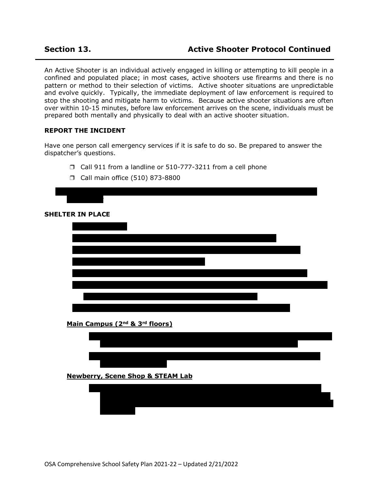An Active Shooter is an individual actively engaged in killing or attempting to kill people in a confined and populated place; in most cases, active shooters use firearms and there is no pattern or method to their selection of victims. Active shooter situations are unpredictable and evolve quickly. Typically, the immediate deployment of law enforcement is required to stop the shooting and mitigate harm to victims. Because active shooter situations are often over within 10-15 minutes, before law enforcement arrives on the scene, individuals must be prepared both mentally and physically to deal with an active shooter situation.

### **REPORT THE INCIDENT**

Have one person call emergency services if it is safe to do so. Be prepared to answer the dispatcher's questions.

- ❒ Call 911 from a landline or 510-777-3211 from a cell phone
- ❒ Call main office (510) 873-8800



**Main Campus (2nd & 3rd floors)**



**Newberry, Scene Shop & STEAM Lab**

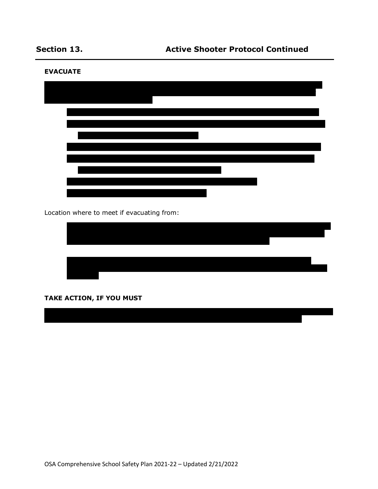### **EVACUATE**



Location where to meet if evacuating from:

### **TAKE ACTION, IF YOU MUST**

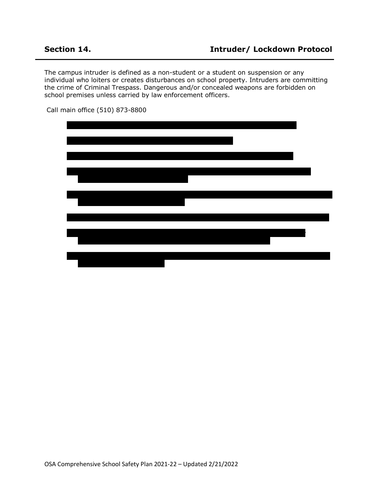The campus intruder is defined as a non-student or a student on suspension or any individual who loiters or creates disturbances on school property. Intruders are committing the crime of Criminal Trespass. Dangerous and/or concealed weapons are forbidden on school premises unless carried by law enforcement officers.



Call main office (510) 873-8800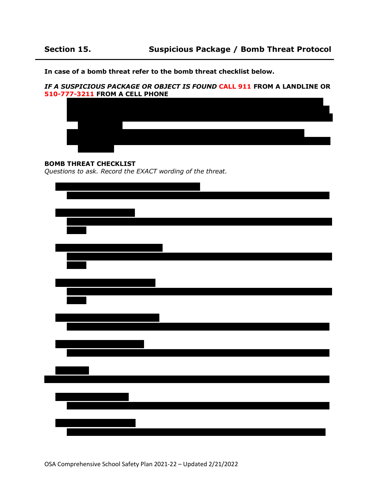**In case of a bomb threat refer to the bomb threat checklist below.**

#### *IF A SUSPICIOUS PACKAGE OR OBJECT IS FOUND* **CALL 911 FROM A LANDLINE OR 510-777-3211 FROM A CELL PHONE**



### **BOMB THREAT CHECKLIST**

*Questions to ask. Record the EXACT wording of the threat.*

| <u> Espainia de la componentación de la componentación de la componentación de la componentación de la componentación de la componentación de la componentación de la componentación de la componentación de la componentación d</u> |
|--------------------------------------------------------------------------------------------------------------------------------------------------------------------------------------------------------------------------------------|
|                                                                                                                                                                                                                                      |
| <u> 1980 - Johann Barbert Barbert Barbert Barbert Barbert Barbert Barbert Barbert Barbert Barbert Barbert Barbert</u>                                                                                                                |
|                                                                                                                                                                                                                                      |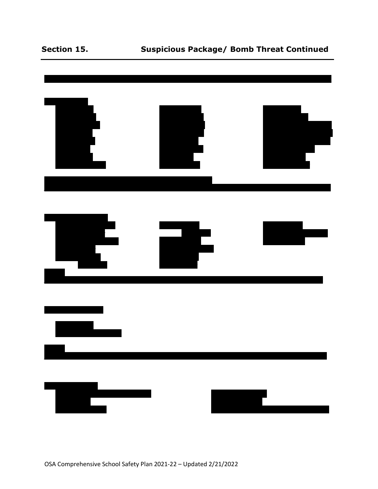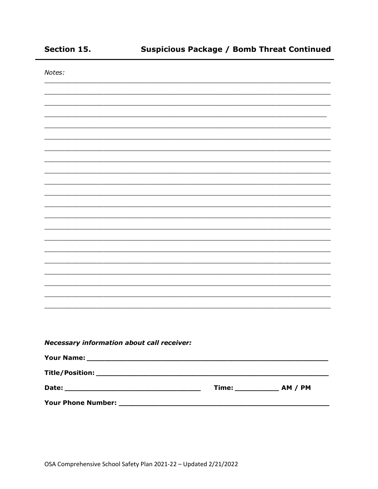| Notes:                                            |                                |  |
|---------------------------------------------------|--------------------------------|--|
|                                                   |                                |  |
|                                                   |                                |  |
|                                                   |                                |  |
|                                                   |                                |  |
|                                                   |                                |  |
|                                                   |                                |  |
|                                                   |                                |  |
|                                                   |                                |  |
|                                                   |                                |  |
|                                                   |                                |  |
|                                                   |                                |  |
|                                                   |                                |  |
|                                                   |                                |  |
|                                                   |                                |  |
|                                                   |                                |  |
|                                                   |                                |  |
|                                                   |                                |  |
|                                                   |                                |  |
|                                                   |                                |  |
|                                                   |                                |  |
|                                                   |                                |  |
|                                                   |                                |  |
| <b>Necessary information about call receiver:</b> |                                |  |
|                                                   |                                |  |
|                                                   |                                |  |
|                                                   | Time: ________________ AM / PM |  |
|                                                   |                                |  |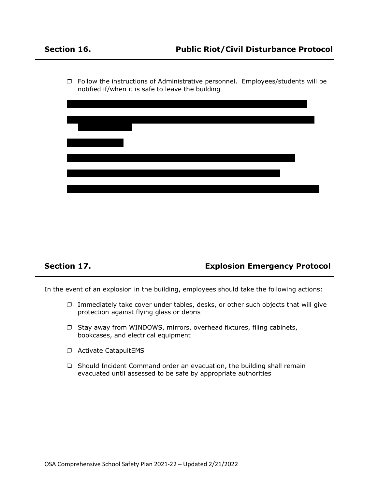❒ Follow the instructions of Administrative personnel. Employees/students will be notified if/when it is safe to leave the building



# **Section 17. Explosion Emergency Protocol**

In the event of an explosion in the building, employees should take the following actions:

- ❒ Immediately take cover under tables, desks, or other such objects that will give protection against flying glass or debris
- ❒ Stay away from WINDOWS, mirrors, overhead fixtures, filing cabinets, bookcases, and electrical equipment
- ❒ Activate CatapultEMS
- ❏ Should Incident Command order an evacuation, the building shall remain evacuated until assessed to be safe by appropriate authorities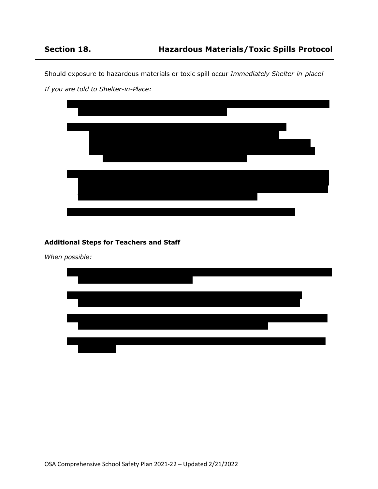Should exposure to hazardous materials or toxic spill occur *Immediately Shelter-in-place!*

*If you are told to Shelter-in-Place:*



### **Additional Steps for Teachers and Staff**

*When possible:*

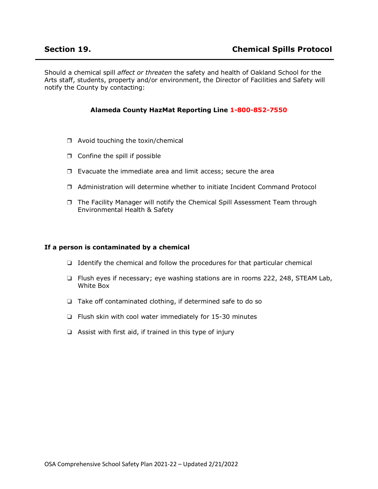Should a chemical spill *affect or threaten* the safety and health of Oakland School for the Arts staff, students, property and/or environment, the Director of Facilities and Safety will notify the County by contacting:

### **Alameda County HazMat Reporting Line 1-800-852-7550**

- ❒ Avoid touching the toxin/chemical
- ❒ Confine the spill if possible
- ❒ Evacuate the immediate area and limit access; secure the area
- ❒ Administration will determine whether to initiate Incident Command Protocol
- ❒ The Facility Manager will notify the Chemical Spill Assessment Team through Environmental Health & Safety

#### **If a person is contaminated by a chemical**

- ❏ Identify the chemical and follow the procedures for that particular chemical
- ❏ Flush eyes if necessary; eye washing stations are in rooms 222, 248, STEAM Lab, White Box
- ❏ Take off contaminated clothing, if determined safe to do so
- ❏ Flush skin with cool water immediately for 15-30 minutes
- ❏ Assist with first aid, if trained in this type of injury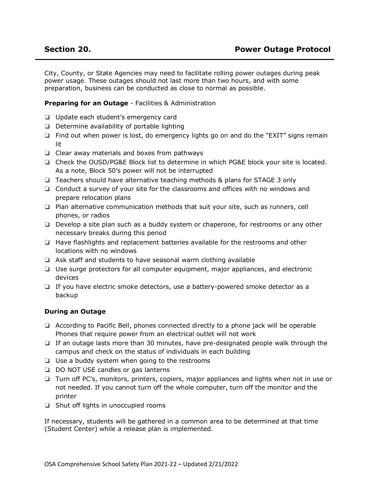City, County, or State Agencies may need to facilitate rolling power outages during peak power usage. These outages should not last more than two hours, and with some preparation, business can be conducted as close to normal as possible.

### **Preparing for an Outage** - Facilities & Administration

- ❏ Update each student's emergency card
- ❏ Determine availability of portable lighting
- ❏ Find out when power is lost, do emergency lights go on and do the "EXIT" signs remain lit
- ❏ Clear away materials and boxes from pathways
- ❏ Check the OUSD/PG&E Block list to determine in which PG&E block your site is located. As a note, Block 50's power will not be interrupted
- ❏ Teachers should have alternative teaching methods & plans for STAGE 3 only
- ❏ Conduct a survey of your site for the classrooms and offices with no windows and prepare relocation plans
- ❏ Plan alternative communication methods that suit your site, such as runners, cell phones, or radios
- ❏ Develop a site plan such as a buddy system or chaperone, for restrooms or any other necessary breaks during this period
- ❏ Have flashlights and replacement batteries available for the restrooms and other locations with no windows
- ❏ Ask staff and students to have seasonal warm clothing available
- ❏ Use surge protectors for all computer equipment, major appliances, and electronic devices
- ❏ If you have electric smoke detectors, use a battery-powered smoke detector as a backup

### **During an Outage**

- ❏ According to Pacific Bell, phones connected directly to a phone jack will be operable Phones that require power from an electrical outlet will not work
- ❏ If an outage lasts more than 30 minutes, have pre-designated people walk through the campus and check on the status of individuals in each building
- ❏ Use a buddy system when going to the restrooms
- ❏ DO NOT USE candles or gas lanterns
- ❏ Turn off PC's, monitors, printers, copiers, major appliances and lights when not in use or not needed. If you cannot turn off the whole computer, turn off the monitor and the printer
- ❏ Shut off lights in unoccupied rooms

If necessary, students will be gathered in a common area to be determined at that time (Student Center) while a release plan is implemented.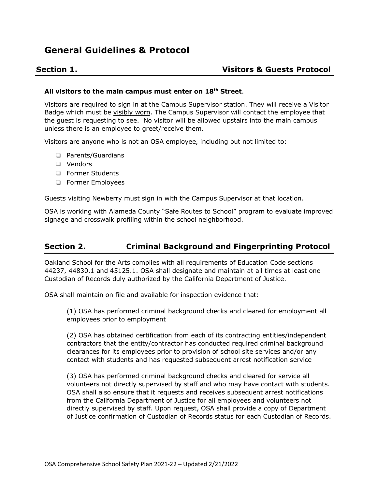# **General Guidelines & Protocol**

# **Section 1. Visitors & Guests Protocol**

### **All visitors to the main campus must enter on 18th Street**.

Visitors are required to sign in at the Campus Supervisor station. They will receive a Visitor Badge which must be visibly worn. The Campus Supervisor will contact the employee that the guest is requesting to see. No visitor will be allowed upstairs into the main campus unless there is an employee to greet/receive them.

Visitors are anyone who is not an OSA employee, including but not limited to:

- ❏ Parents/Guardians
- ❏ Vendors
- ❏ Former Students
- ❏ Former Employees

Guests visiting Newberry must sign in with the Campus Supervisor at that location.

OSA is working with Alameda County "Safe Routes to School" program to evaluate improved signage and crosswalk profiling within the school neighborhood.

# **Section 2. Criminal Background and Fingerprinting Protocol**

Oakland School for the Arts complies with all requirements of Education Code sections 44237, 44830.1 and 45125.1. OSA shall designate and maintain at all times at least one Custodian of Records duly authorized by the California Department of Justice.

OSA shall maintain on file and available for inspection evidence that:

(1) OSA has performed criminal background checks and cleared for employment all employees prior to employment

(2) OSA has obtained certification from each of its contracting entities/independent contractors that the entity/contractor has conducted required criminal background clearances for its employees prior to provision of school site services and/or any contact with students and has requested subsequent arrest notification service

(3) OSA has performed criminal background checks and cleared for service all volunteers not directly supervised by staff and who may have contact with students. OSA shall also ensure that it requests and receives subsequent arrest notifications from the California Department of Justice for all employees and volunteers not directly supervised by staff. Upon request, OSA shall provide a copy of Department of Justice confirmation of Custodian of Records status for each Custodian of Records.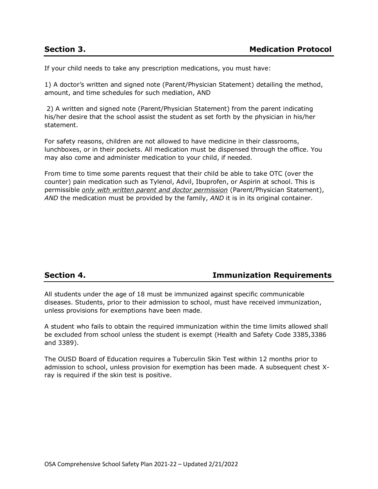If your child needs to take any prescription medications, you must have:

1) A doctor's written and signed note (Parent/Physician Statement) detailing the method, amount, and time schedules for such mediation, AND

2) A written and signed note (Parent/Physician Statement) from the parent indicating his/her desire that the school assist the student as set forth by the physician in his/her statement.

For safety reasons, children are not allowed to have medicine in their classrooms, lunchboxes, or in their pockets. All medication must be dispensed through the office. You may also come and administer medication to your child, if needed.

From time to time some parents request that their child be able to take OTC (over the counter) pain medication such as Tylenol, Advil, Ibuprofen, or Aspirin at school. This is permissible *only with written parent and doctor permission* (Parent/Physician Statement), *AND* the medication must be provided by the family, *AND* it is in its original container.

# **Section 4. Immunization Requirements**

All students under the age of 18 must be immunized against specific communicable diseases. Students, prior to their admission to school, must have received immunization, unless provisions for exemptions have been made.

A student who fails to obtain the required immunization within the time limits allowed shall be excluded from school unless the student is exempt (Health and Safety Code 3385,3386 and 3389).

The OUSD Board of Education requires a Tuberculin Skin Test within 12 months prior to admission to school, unless provision for exemption has been made. A subsequent chest Xray is required if the skin test is positive.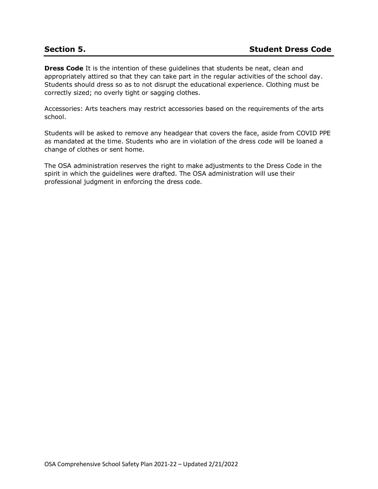**Dress Code** It is the intention of these guidelines that students be neat, clean and appropriately attired so that they can take part in the regular activities of the school day. Students should dress so as to not disrupt the educational experience. Clothing must be correctly sized; no overly tight or sagging clothes.

Accessories: Arts teachers may restrict accessories based on the requirements of the arts school.

Students will be asked to remove any headgear that covers the face, aside from COVID PPE as mandated at the time. Students who are in violation of the dress code will be loaned a change of clothes or sent home.

The OSA administration reserves the right to make adjustments to the Dress Code in the spirit in which the guidelines were drafted. The OSA administration will use their professional judgment in enforcing the dress code.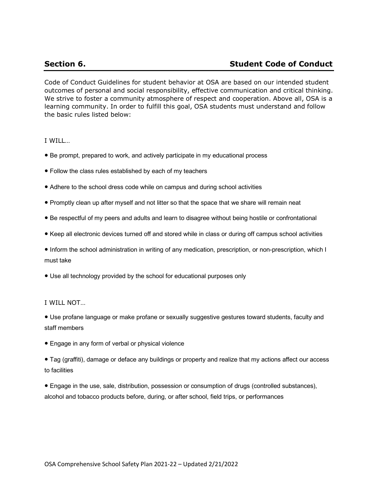Code of Conduct Guidelines for student behavior at OSA are based on our intended student outcomes of personal and social responsibility, effective communication and critical thinking. We strive to foster a community atmosphere of respect and cooperation. Above all, OSA is a learning community. In order to fulfill this goal, OSA students must understand and follow the basic rules listed below:

I WILL…

- . Be prompt, prepared to work, and actively participate in my educational process
- . Follow the class rules established by each of my teachers
- . Adhere to the school dress code while on campus and during school activities
- . Promptly clean up after myself and not litter so that the space that we share will remain neat
- . Be respectful of my peers and adults and learn to disagree without being hostile or confrontational
- . Keep all electronic devices turned off and stored while in class or during off campus school activities
- . Inform the school administration in writing of any medication, prescription, or non-prescription, which I must take
- Use all technology provided by the school for educational purposes only

I WILL NOT…

- Use profane language or make profane or sexually suggestive gestures toward students, faculty and staff members
- . Engage in any form of verbal or physical violence
- Tag (graffiti), damage or deface any buildings or property and realize that my actions affect our access to facilities
- Engage in the use, sale, distribution, possession or consumption of drugs (controlled substances), alcohol and tobacco products before, during, or after school, field trips, or performances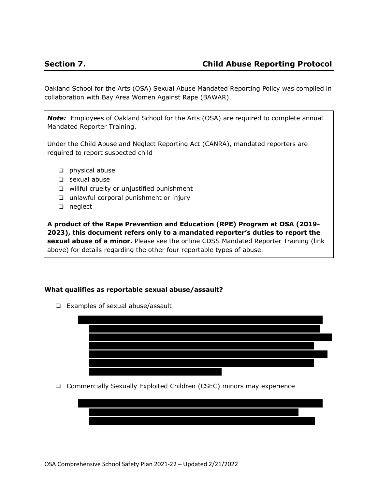Oakland School for the Arts (OSA) Sexual Abuse Mandated Reporting Policy was compiled in collaboration with Bay Area Women Against Rape (BAWAR).

*Note:* Employees of Oakland School for the Arts (OSA) are required to complete annual Mandated Reporter Training.

Under the Child Abuse and Neglect Reporting Act (CANRA), mandated reporters are required to report suspected child

- ❏ physical abuse
- ❏ sexual abuse
- ❏ willful cruelty or unjustified punishment
- ❏ unlawful corporal punishment or injury
- ❏ neglect

**A product of the Rape Prevention and Education (RPE) Program at OSA (2019- 2023), this document refers only to a mandated reporter's duties to report the sexual abuse of a minor.** Please see the online CDSS Mandated Reporter Training (link above) for details regarding the other four reportable types of abuse.

### **What qualifies as reportable sexual abuse/assault?**

❏ Examples of sexual abuse/assault



❏ Indecent touching or exposure; use of sexually explicit language towards a minor; using minors in pornography; forcing or coercing a minor to participate in a sex act; street-based child prostitution; live performance

❏ Commercially Sexually Exploited Children (CSEC) minors may experience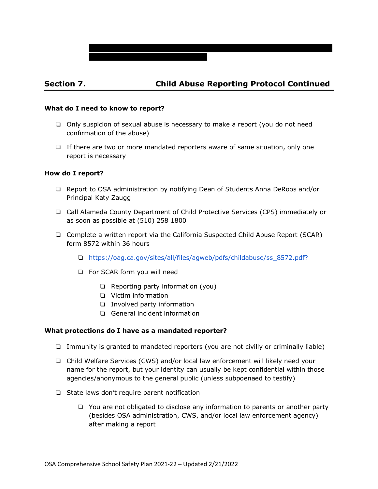# **Section 7. Child Abuse Reporting Protocol Continued**

involving obscene sexual conduct; stripping; erotic massage; phone sex lines;

#### **What do I need to know to report?**

- ❏ Only suspicion of sexual abuse is necessary to make a report (you do not need confirmation of the abuse)
- ❏ If there are two or more mandated reporters aware of same situation, only one report is necessary

### **How do I report?**

- ❏ Report to OSA administration by notifying Dean of Students Anna DeRoos and/or Principal Katy Zaugg
- ❏ Call Alameda County Department of Child Protective Services (CPS) immediately or as soon as possible at (510) 258 1800
- ❏ Complete a written report via the California Suspected Child Abuse Report (SCAR) form 8572 within 36 hours
	- ❏ https://oag.ca.gov/sites/all/files/agweb/pdfs/childabuse/ss\_8572.pdf?
	- ❏ For SCAR form you will need
		- ❏ Reporting party information (you)
		- ❏ Victim information
		- ❏ Involved party information
		- ❏ General incident information

#### **What protections do I have as a mandated reporter?**

- ❏ Immunity is granted to mandated reporters (you are not civilly or criminally liable)
- ❏ Child Welfare Services (CWS) and/or local law enforcement will likely need your name for the report, but your identity can usually be kept confidential within those agencies/anonymous to the general public (unless subpoenaed to testify)
- ❏ State laws don't require parent notification
	- ❏ You are not obligated to disclose any information to parents or another party (besides OSA administration, CWS, and/or local law enforcement agency) after making a report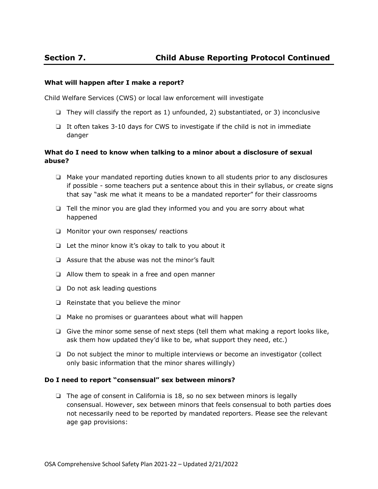#### **What will happen after I make a report?**

Child Welfare Services (CWS) or local law enforcement will investigate

- ❏ They will classify the report as 1) unfounded, 2) substantiated, or 3) inconclusive
- ❏ It often takes 3-10 days for CWS to investigate if the child is not in immediate danger

### **What do I need to know when talking to a minor about a disclosure of sexual abuse?**

- ❏ Make your mandated reporting duties known to all students prior to any disclosures if possible - some teachers put a sentence about this in their syllabus, or create signs that say "ask me what it means to be a mandated reporter" for their classrooms
- ❏ Tell the minor you are glad they informed you and you are sorry about what happened
- ❏ Monitor your own responses/ reactions
- ❏ Let the minor know it's okay to talk to you about it
- ❏ Assure that the abuse was not the minor's fault
- ❏ Allow them to speak in a free and open manner
- ❏ Do not ask leading questions
- ❏ Reinstate that you believe the minor
- ❏ Make no promises or guarantees about what will happen
- ❏ Give the minor some sense of next steps (tell them what making a report looks like, ask them how updated they'd like to be, what support they need, etc.)
- ❏ Do not subject the minor to multiple interviews or become an investigator (collect only basic information that the minor shares willingly)

### **Do I need to report "consensual" sex between minors?**

❏ The age of consent in California is 18, so no sex between minors is legally consensual. However, sex between minors that feels consensual to both parties does not necessarily need to be reported by mandated reporters. Please see the relevant age gap provisions: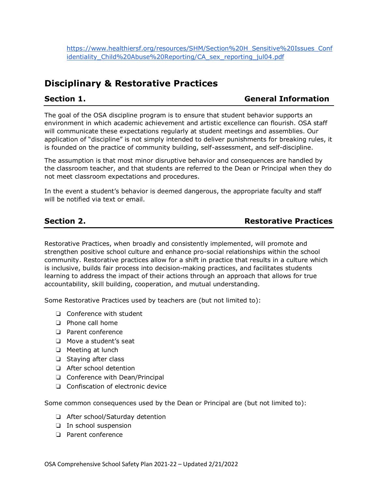# **Disciplinary & Restorative Practices**

# **Section 1.** Section 1.

The goal of the OSA discipline program is to ensure that student behavior supports an environment in which academic achievement and artistic excellence can flourish. OSA staff will communicate these expectations regularly at student meetings and assemblies. Our application of "discipline" is not simply intended to deliver punishments for breaking rules, it is founded on the practice of community building, self-assessment, and self-discipline.

The assumption is that most minor disruptive behavior and consequences are handled by the classroom teacher, and that students are referred to the Dean or Principal when they do not meet classroom expectations and procedures.

In the event a student's behavior is deemed dangerous, the appropriate faculty and staff will be notified via text or email.

# **Section 2. Restorative Practices**

Restorative Practices, when broadly and consistently implemented, will promote and strengthen positive school culture and enhance pro-social relationships within the school community. Restorative practices allow for a shift in practice that results in a culture which is inclusive, builds fair process into decision-making practices, and facilitates students learning to address the impact of their actions through an approach that allows for true accountability, skill building, cooperation, and mutual understanding.

Some Restorative Practices used by teachers are (but not limited to):

- ❏ Conference with student
- ❏ Phone call home
- ❏ Parent conference
- ❏ Move a student's seat
- ❏ Meeting at lunch
- ❏ Staying after class
- ❏ After school detention
- ❏ Conference with Dean/Principal
- ❏ Confiscation of electronic device

Some common consequences used by the Dean or Principal are (but not limited to):

- ❏ After school/Saturday detention
- ❏ In school suspension
- ❏ Parent conference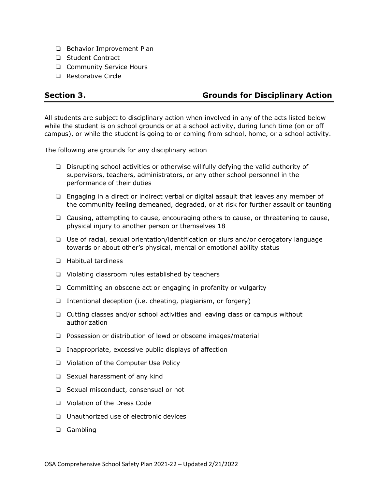- ❏ Behavior Improvement Plan
- ❏ Student Contract
- ❏ Community Service Hours
- ❏ Restorative Circle

# **Section 3. Grounds for Disciplinary Action**

All students are subject to disciplinary action when involved in any of the acts listed below while the student is on school grounds or at a school activity, during lunch time (on or off campus), or while the student is going to or coming from school, home, or a school activity.

The following are grounds for any disciplinary action

- ❏ Disrupting school activities or otherwise willfully defying the valid authority of supervisors, teachers, administrators, or any other school personnel in the performance of their duties
- ❏ Engaging in a direct or indirect verbal or digital assault that leaves any member of the community feeling demeaned, degraded, or at risk for further assault or taunting
- ❏ Causing, attempting to cause, encouraging others to cause, or threatening to cause, physical injury to another person or themselves 18
- ❏ Use of racial, sexual orientation/identification or slurs and/or derogatory language towards or about other's physical, mental or emotional ability status
- ❏ Habitual tardiness
- ❏ Violating classroom rules established by teachers
- ❏ Committing an obscene act or engaging in profanity or vulgarity
- ❏ Intentional deception (i.e. cheating, plagiarism, or forgery)
- ❏ Cutting classes and/or school activities and leaving class or campus without authorization
- ❏ Possession or distribution of lewd or obscene images/material
- ❏ Inappropriate, excessive public displays of affection
- ❏ Violation of the Computer Use Policy
- ❏ Sexual harassment of any kind
- ❏ Sexual misconduct, consensual or not
- ❏ Violation of the Dress Code
- ❏ Unauthorized use of electronic devices
- ❏ Gambling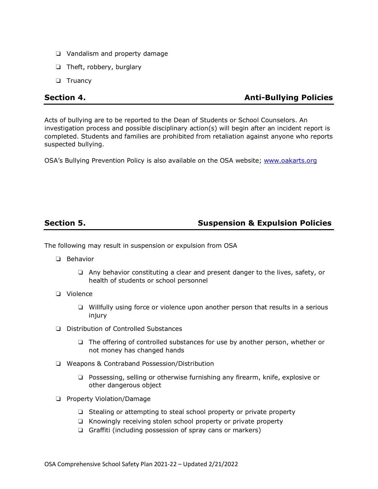- ❏ Vandalism and property damage
- ❏ Theft, robbery, burglary
- ❏ Truancy

# **Section 4.** Anti-Bullying Policies

Acts of bullying are to be reported to the Dean of Students or School Counselors. An investigation process and possible disciplinary action(s) will begin after an incident report is completed. Students and families are prohibited from retaliation against anyone who reports suspected bullying.

OSA's Bullying Prevention Policy is also available on the OSA website; www.oakarts.org

# **Section 5. Suspension & Expulsion Policies**

The following may result in suspension or expulsion from OSA

- ❏ Behavior
	- ❏ Any behavior constituting a clear and present danger to the lives, safety, or health of students or school personnel
- ❏ Violence
	- ❏ Willfully using force or violence upon another person that results in a serious injury
- ❏ Distribution of Controlled Substances
	- ❏ The offering of controlled substances for use by another person, whether or not money has changed hands
- ❏ Weapons & Contraband Possession/Distribution
	- ❏ Possessing, selling or otherwise furnishing any firearm, knife, explosive or other dangerous object
- ❏ Property Violation/Damage
	- ❏ Stealing or attempting to steal school property or private property
	- ❏ Knowingly receiving stolen school property or private property
	- ❏ Graffiti (including possession of spray cans or markers)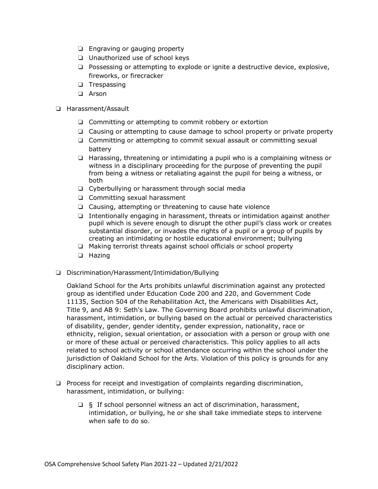- ❏ Engraving or gauging property
- ❏ Unauthorized use of school keys
- ❏ Possessing or attempting to explode or ignite a destructive device, explosive, fireworks, or firecracker
- ❏ Trespassing
- ❏ Arson

### ❏ Harassment/Assault

- ❏ Committing or attempting to commit robbery or extortion
- ❏ Causing or attempting to cause damage to school property or private property
- ❏ Committing or attempting to commit sexual assault or committing sexual battery
- ❏ Harassing, threatening or intimidating a pupil who is a complaining witness or witness in a disciplinary proceeding for the purpose of preventing the pupil from being a witness or retaliating against the pupil for being a witness, or both
- ❏ Cyberbullying or harassment through social media
- ❏ Committing sexual harassment
- ❏ Causing, attempting or threatening to cause hate violence
- ❏ Intentionally engaging in harassment, threats or intimidation against another pupil which is severe enough to disrupt the other pupil's class work or creates substantial disorder, or invades the rights of a pupil or a group of pupils by creating an intimidating or hostile educational environment; bullying
- ❏ Making terrorist threats against school officials or school property
- ❏ Hazing
- ❏ Discrimination/Harassment/Intimidation/Bullying

Oakland School for the Arts prohibits unlawful discrimination against any protected group as identified under Education Code 200 and 220, and Government Code 11135, Section 504 of the Rehabilitation Act, the Americans with Disabilities Act, Title 9, and AB 9: Seth's Law. The Governing Board prohibits unlawful discrimination, harassment, intimidation, or bullying based on the actual or perceived characteristics of disability, gender, gender identity, gender expression, nationality, race or ethnicity, religion, sexual orientation, or association with a person or group with one or more of these actual or perceived characteristics. This policy applies to all acts related to school activity or school attendance occurring within the school under the jurisdiction of Oakland School for the Arts. Violation of this policy is grounds for any disciplinary action.

- ❏ Process for receipt and investigation of complaints regarding discrimination, harassment, intimidation, or bullying:
	- ❏ § If school personnel witness an act of discrimination, harassment, intimidation, or bullying, he or she shall take immediate steps to intervene when safe to do so.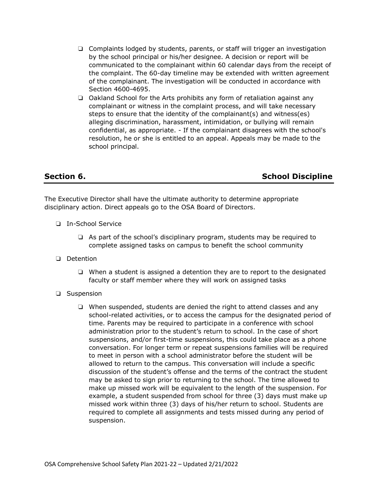- ❏ Complaints lodged by students, parents, or staff will trigger an investigation by the school principal or his/her designee. A decision or report will be communicated to the complainant within 60 calendar days from the receipt of the complaint. The 60-day timeline may be extended with written agreement of the complainant. The investigation will be conducted in accordance with Section 4600-4695.
- ❏ Oakland School for the Arts prohibits any form of retaliation against any complainant or witness in the complaint process, and will take necessary steps to ensure that the identity of the complainant(s) and witness(es) alleging discrimination, harassment, intimidation, or bullying will remain confidential, as appropriate. - If the complainant disagrees with the school's resolution, he or she is entitled to an appeal. Appeals may be made to the school principal.

# **Section 6.** Section 6. Section 6. Section 6. Section 6. Section 6. Section 6. Section 6. Section 6. Section 6. Section 6. Section 6. Section 6. Section 6. Section 6. Section 6. Section 6. Section 6. Section 6. Section 6.

The Executive Director shall have the ultimate authority to determine appropriate disciplinary action. Direct appeals go to the OSA Board of Directors.

- ❏ In-School Service
	- ❏ As part of the school's disciplinary program, students may be required to complete assigned tasks on campus to benefit the school community
- ❏ Detention
	- ❏ When a student is assigned a detention they are to report to the designated faculty or staff member where they will work on assigned tasks
- ❏ Suspension
	- ❏ When suspended, students are denied the right to attend classes and any school-related activities, or to access the campus for the designated period of time. Parents may be required to participate in a conference with school administration prior to the student's return to school. In the case of short suspensions, and/or first-time suspensions, this could take place as a phone conversation. For longer term or repeat suspensions families will be required to meet in person with a school administrator before the student will be allowed to return to the campus. This conversation will include a specific discussion of the student's offense and the terms of the contract the student may be asked to sign prior to returning to the school. The time allowed to make up missed work will be equivalent to the length of the suspension. For example, a student suspended from school for three (3) days must make up missed work within three (3) days of his/her return to school. Students are required to complete all assignments and tests missed during any period of suspension.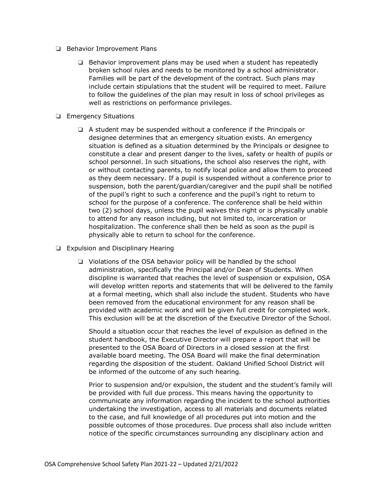- ❏ Behavior Improvement Plans
	- ❏ Behavior improvement plans may be used when a student has repeatedly broken school rules and needs to be monitored by a school administrator. Families will be part of the development of the contract. Such plans may include certain stipulations that the student will be required to meet. Failure to follow the guidelines of the plan may result in loss of school privileges as well as restrictions on performance privileges.
- ❏ Emergency Situations
	- ❏ A student may be suspended without a conference if the Principals or designee determines that an emergency situation exists. An emergency situation is defined as a situation determined by the Principals or designee to constitute a clear and present danger to the lives, safety or health of pupils or school personnel. In such situations, the school also reserves the right, with or without contacting parents, to notify local police and allow them to proceed as they deem necessary. If a pupil is suspended without a conference prior to suspension, both the parent/guardian/caregiver and the pupil shall be notified of the pupil's right to such a conference and the pupil's right to return to school for the purpose of a conference. The conference shall be held within two (2) school days, unless the pupil waives this right or is physically unable to attend for any reason including, but not limited to, incarceration or hospitalization. The conference shall then be held as soon as the pupil is physically able to return to school for the conference.
- ❏ Expulsion and Disciplinary Hearing
	- ❏ Violations of the OSA behavior policy will be handled by the school administration, specifically the Principal and/or Dean of Students. When discipline is warranted that reaches the level of suspension or expulsion, OSA will develop written reports and statements that will be delivered to the family at a formal meeting, which shall also include the student. Students who have been removed from the educational environment for any reason shall be provided with academic work and will be given full credit for completed work. This exclusion will be at the discretion of the Executive Director of the School.

Should a situation occur that reaches the level of expulsion as defined in the student handbook, the Executive Director will prepare a report that will be presented to the OSA Board of Directors in a closed session at the first available board meeting. The OSA Board will make the final determination regarding the disposition of the student. Oakland Unified School District will be informed of the outcome of any such hearing.

Prior to suspension and/or expulsion, the student and the student's family will be provided with full due process. This means having the opportunity to communicate any information regarding the incident to the school authorities undertaking the investigation, access to all materials and documents related to the case, and full knowledge of all procedures put into motion and the possible outcomes of those procedures. Due process shall also include written notice of the specific circumstances surrounding any disciplinary action and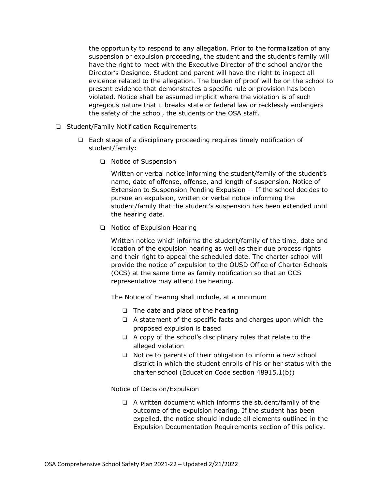the opportunity to respond to any allegation. Prior to the formalization of any suspension or expulsion proceeding, the student and the student's family will have the right to meet with the Executive Director of the school and/or the Director's Designee. Student and parent will have the right to inspect all evidence related to the allegation. The burden of proof will be on the school to present evidence that demonstrates a specific rule or provision has been violated. Notice shall be assumed implicit where the violation is of such egregious nature that it breaks state or federal law or recklessly endangers the safety of the school, the students or the OSA staff.

- ❏ Student/Family Notification Requirements
	- ❏ Each stage of a disciplinary proceeding requires timely notification of student/family:
		- ❏ Notice of Suspension

Written or verbal notice informing the student/family of the student's name, date of offense, offense, and length of suspension. Notice of Extension to Suspension Pending Expulsion -- If the school decides to pursue an expulsion, written or verbal notice informing the student/family that the student's suspension has been extended until the hearing date.

❏ Notice of Expulsion Hearing

Written notice which informs the student/family of the time, date and location of the expulsion hearing as well as their due process rights and their right to appeal the scheduled date. The charter school will provide the notice of expulsion to the OUSD Office of Charter Schools (OCS) at the same time as family notification so that an OCS representative may attend the hearing.

The Notice of Hearing shall include, at a minimum

- ❏ The date and place of the hearing
- ❏ A statement of the specific facts and charges upon which the proposed expulsion is based
- ❏ A copy of the school's disciplinary rules that relate to the alleged violation
- ❏ Notice to parents of their obligation to inform a new school district in which the student enrolls of his or her status with the charter school (Education Code section 48915.1(b))

Notice of Decision/Expulsion

❏ A written document which informs the student/family of the outcome of the expulsion hearing. If the student has been expelled, the notice should include all elements outlined in the Expulsion Documentation Requirements section of this policy.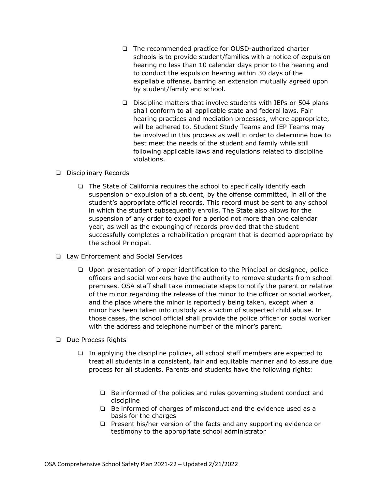- ❏ The recommended practice for OUSD-authorized charter schools is to provide student/families with a notice of expulsion hearing no less than 10 calendar days prior to the hearing and to conduct the expulsion hearing within 30 days of the expellable offense, barring an extension mutually agreed upon by student/family and school.
- ❏ Discipline matters that involve students with IEPs or 504 plans shall conform to all applicable state and federal laws. Fair hearing practices and mediation processes, where appropriate, will be adhered to. Student Study Teams and IEP Teams may be involved in this process as well in order to determine how to best meet the needs of the student and family while still following applicable laws and regulations related to discipline violations.

### ❏ Disciplinary Records

- ❏ The State of California requires the school to specifically identify each suspension or expulsion of a student, by the offense committed, in all of the student's appropriate official records. This record must be sent to any school in which the student subsequently enrolls. The State also allows for the suspension of any order to expel for a period not more than one calendar year, as well as the expunging of records provided that the student successfully completes a rehabilitation program that is deemed appropriate by the school Principal.
- ❏ Law Enforcement and Social Services
	- ❏ Upon presentation of proper identification to the Principal or designee, police officers and social workers have the authority to remove students from school premises. OSA staff shall take immediate steps to notify the parent or relative of the minor regarding the release of the minor to the officer or social worker, and the place where the minor is reportedly being taken, except when a minor has been taken into custody as a victim of suspected child abuse. In those cases, the school official shall provide the police officer or social worker with the address and telephone number of the minor's parent.
- ❏ Due Process Rights
	- ❏ In applying the discipline policies, all school staff members are expected to treat all students in a consistent, fair and equitable manner and to assure due process for all students. Parents and students have the following rights:
		- ❏ Be informed of the policies and rules governing student conduct and discipline
		- ❏ Be informed of charges of misconduct and the evidence used as a basis for the charges
		- ❏ Present his/her version of the facts and any supporting evidence or testimony to the appropriate school administrator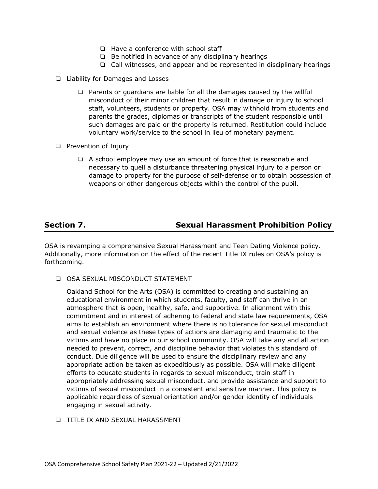- ❏ Have a conference with school staff
- ❏ Be notified in advance of any disciplinary hearings
- ❏ Call witnesses, and appear and be represented in disciplinary hearings
- ❏ Liability for Damages and Losses
	- ❏ Parents or guardians are liable for all the damages caused by the willful misconduct of their minor children that result in damage or injury to school staff, volunteers, students or property. OSA may withhold from students and parents the grades, diplomas or transcripts of the student responsible until such damages are paid or the property is returned. Restitution could include voluntary work/service to the school in lieu of monetary payment.
- ❏ Prevention of Injury
	- ❏ A school employee may use an amount of force that is reasonable and necessary to quell a disturbance threatening physical injury to a person or damage to property for the purpose of self-defense or to obtain possession of weapons or other dangerous objects within the control of the pupil.

# **Section 7. Sexual Harassment Prohibition Policy**

OSA is revamping a comprehensive Sexual Harassment and Teen Dating Violence policy. Additionally, more information on the effect of the recent Title IX rules on OSA's policy is forthcoming.

❏ OSA SEXUAL MISCONDUCT STATEMENT

Oakland School for the Arts (OSA) is committed to creating and sustaining an educational environment in which students, faculty, and staff can thrive in an atmosphere that is open, healthy, safe, and supportive. In alignment with this commitment and in interest of adhering to federal and state law requirements, OSA aims to establish an environment where there is no tolerance for sexual misconduct and sexual violence as these types of actions are damaging and traumatic to the victims and have no place in our school community. OSA will take any and all action needed to prevent, correct, and discipline behavior that violates this standard of conduct. Due diligence will be used to ensure the disciplinary review and any appropriate action be taken as expeditiously as possible. OSA will make diligent efforts to educate students in regards to sexual misconduct, train staff in appropriately addressing sexual misconduct, and provide assistance and support to victims of sexual misconduct in a consistent and sensitive manner. This policy is applicable regardless of sexual orientation and/or gender identity of individuals engaging in sexual activity.

❏ TITLE IX AND SEXUAL HARASSMENT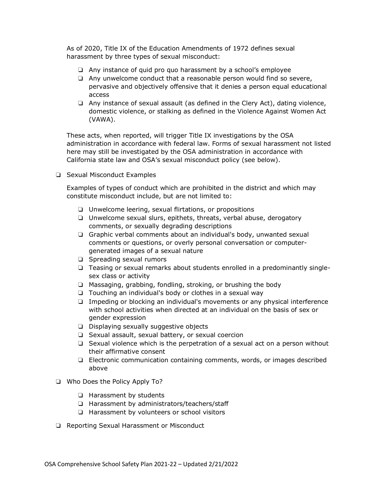As of 2020, Title IX of the Education Amendments of 1972 defines sexual harassment by three types of sexual misconduct:

- ❏ Any instance of quid pro quo harassment by a school's employee
- ❏ Any unwelcome conduct that a reasonable person would find so severe, pervasive and objectively offensive that it denies a person equal educational access
- ❏ Any instance of sexual assault (as defined in the Clery Act), dating violence, domestic violence, or stalking as defined in the Violence Against Women Act (VAWA).

These acts, when reported, will trigger Title IX investigations by the OSA administration in accordance with federal law. Forms of sexual harassment not listed here may still be investigated by the OSA administration in accordance with California state law and OSA's sexual misconduct policy (see below).

❏ Sexual Misconduct Examples

Examples of types of conduct which are prohibited in the district and which may constitute misconduct include, but are not limited to:

- ❏ Unwelcome leering, sexual flirtations, or propositions
- ❏ Unwelcome sexual slurs, epithets, threats, verbal abuse, derogatory comments, or sexually degrading descriptions
- ❏ Graphic verbal comments about an individual's body, unwanted sexual comments or questions, or overly personal conversation or computergenerated images of a sexual nature
- ❏ Spreading sexual rumors
- ❏ Teasing or sexual remarks about students enrolled in a predominantly singlesex class or activity
- ❏ Massaging, grabbing, fondling, stroking, or brushing the body
- ❏ Touching an individual's body or clothes in a sexual way
- ❏ Impeding or blocking an individual's movements or any physical interference with school activities when directed at an individual on the basis of sex or gender expression
- ❏ Displaying sexually suggestive objects
- ❏ Sexual assault, sexual battery, or sexual coercion
- ❏ Sexual violence which is the perpetration of a sexual act on a person without their affirmative consent
- ❏ Electronic communication containing comments, words, or images described above
- ❏ Who Does the Policy Apply To?
	- ❏ Harassment by students
	- ❏ Harassment by administrators/teachers/staff
	- ❏ Harassment by volunteers or school visitors
- ❏ Reporting Sexual Harassment or Misconduct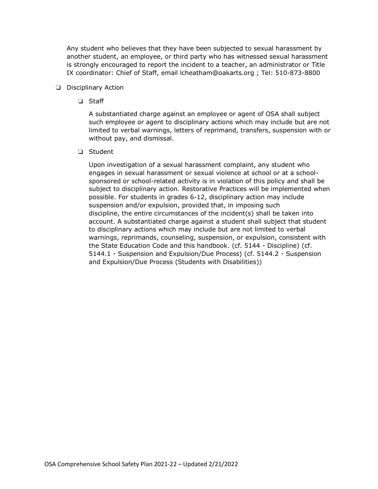Any student who believes that they have been subjected to sexual harassment by another student, an employee, or third party who has witnessed sexual harassment is strongly encouraged to report the incident to a teacher, an administrator or Title IX coordinator: Chief of Staff, email lcheatham@oakarts.org ; Tel: 510-873-8800

### ❏ Disciplinary Action

❏ Staff

A substantiated charge against an employee or agent of OSA shall subject such employee or agent to disciplinary actions which may include but are not limited to verbal warnings, letters of reprimand, transfers, suspension with or without pay, and dismissal.

#### ❏ Student

Upon investigation of a sexual harassment complaint, any student who engages in sexual harassment or sexual violence at school or at a schoolsponsored or school-related activity is in violation of this policy and shall be subject to disciplinary action. Restorative Practices will be implemented when possible. For students in grades 6-12, disciplinary action may include suspension and/or expulsion, provided that, in imposing such discipline, the entire circumstances of the incident(s) shall be taken into account. A substantiated charge against a student shall subject that student to disciplinary actions which may include but are not limited to verbal warnings, reprimands, counseling, suspension, or expulsion, consistent with the State Education Code and this handbook. (cf. 5144 - Discipline) (cf. 5144.1 - Suspension and Expulsion/Due Process) (cf. 5144.2 - Suspension and Expulsion/Due Process (Students with Disabilities))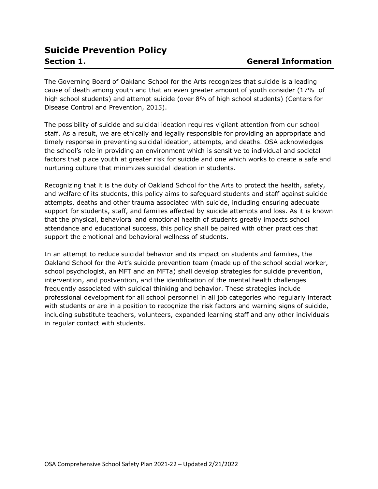The Governing Board of Oakland School for the Arts recognizes that suicide is a leading cause of death among youth and that an even greater amount of youth consider (17% of high school students) and attempt suicide (over 8% of high school students) (Centers for Disease Control and Prevention, 2015).

The possibility of suicide and suicidal ideation requires vigilant attention from our school staff. As a result, we are ethically and legally responsible for providing an appropriate and timely response in preventing suicidal ideation, attempts, and deaths. OSA acknowledges the school's role in providing an environment which is sensitive to individual and societal factors that place youth at greater risk for suicide and one which works to create a safe and nurturing culture that minimizes suicidal ideation in students.

Recognizing that it is the duty of Oakland School for the Arts to protect the health, safety, and welfare of its students, this policy aims to safeguard students and staff against suicide attempts, deaths and other trauma associated with suicide, including ensuring adequate support for students, staff, and families affected by suicide attempts and loss. As it is known that the physical, behavioral and emotional health of students greatly impacts school attendance and educational success, this policy shall be paired with other practices that support the emotional and behavioral wellness of students.

In an attempt to reduce suicidal behavior and its impact on students and families, the Oakland School for the Art's suicide prevention team (made up of the school social worker, school psychologist, an MFT and an MFTa) shall develop strategies for suicide prevention, intervention, and postvention, and the identification of the mental health challenges frequently associated with suicidal thinking and behavior. These strategies include professional development for all school personnel in all job categories who regularly interact with students or are in a position to recognize the risk factors and warning signs of suicide, including substitute teachers, volunteers, expanded learning staff and any other individuals in regular contact with students.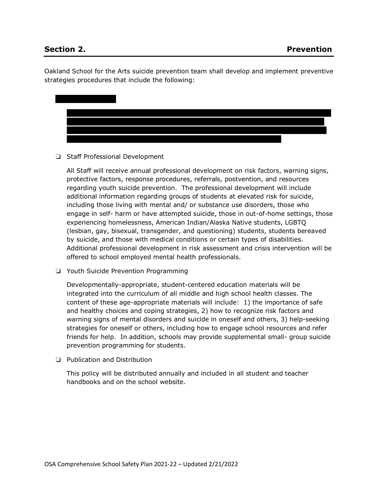Oakland School for the Arts suicide prevention team shall develop and implement preventive strategies procedures that include the following:



### ❏ Staff Professional Development

All Staff will receive annual professional development on risk factors, warning signs, protective factors, response procedures, referrals, postvention, and resources regarding youth suicide prevention. The professional development will include additional information regarding groups of students at elevated risk for suicide, including those living with mental and/ or substance use disorders, those who engage in self- harm or have attempted suicide, those in out-of-home settings, those experiencing homelessness, American Indian/Alaska Native students, LGBTQ (lesbian, gay, bisexual, transgender, and questioning) students, students bereaved by suicide, and those with medical conditions or certain types of disabilities. Additional professional development in risk assessment and crisis intervention will be offered to school employed mental health professionals.

❏ Youth Suicide Prevention Programming

Developmentally-appropriate, student-centered education materials will be integrated into the curriculum of all middle and high school health classes. The content of these age-appropriate materials will include: 1) the importance of safe and healthy choices and coping strategies, 2) how to recognize risk factors and warning signs of mental disorders and suicide in oneself and others, 3) help-seeking strategies for oneself or others, including how to engage school resources and refer friends for help. In addition, schools may provide supplemental small- group suicide prevention programming for students.

❏ Publication and Distribution

This policy will be distributed annually and included in all student and teacher handbooks and on the school website.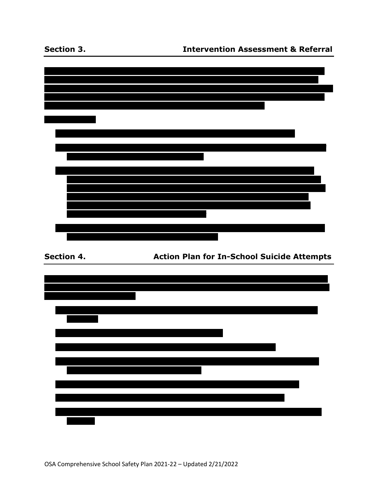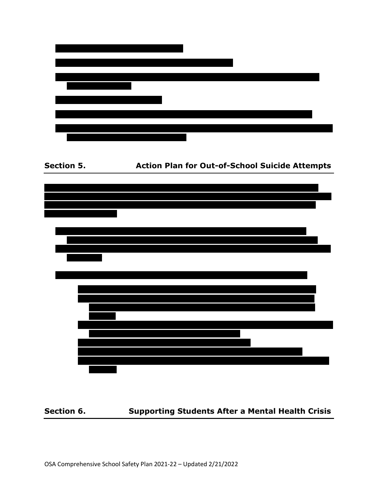| Section 5. | <b>Action Plan for Out-of-School Suicide Attempts</b> |
|------------|-------------------------------------------------------|
|            |                                                       |
|            |                                                       |
|            |                                                       |
|            |                                                       |
|            |                                                       |
|            |                                                       |
|            |                                                       |
|            |                                                       |
|            |                                                       |
|            |                                                       |
|            |                                                       |
|            |                                                       |
|            |                                                       |

**Section 6. Supporting Students After a Mental Health Crisis**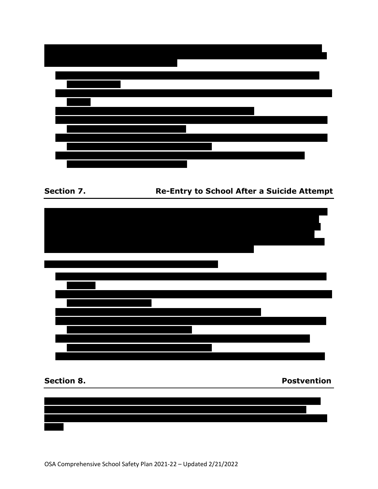Section 7. **Re-Entry to School After a Suicide Attempt** 



**Section 8.** Postvention

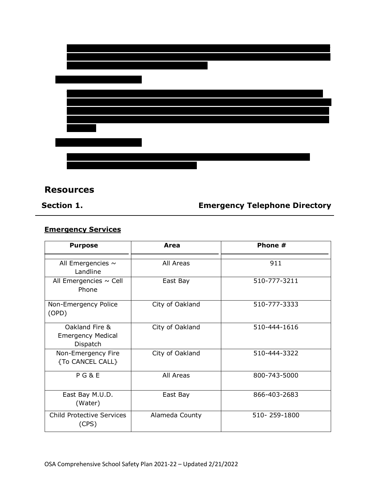# **Resources**

# **Section 1. Emergency Telephone Directory**

# **Emergency Services**

| <b>Purpose</b>                                         | Area            | Phone #      |
|--------------------------------------------------------|-----------------|--------------|
| All Emergencies $\sim$<br>Landline                     | All Areas       | 911          |
| All Emergencies ~ Cell<br>Phone                        | East Bay        | 510-777-3211 |
| Non-Emergency Police<br>(OPD)                          | City of Oakland | 510-777-3333 |
| Oakland Fire &<br><b>Emergency Medical</b><br>Dispatch | City of Oakland | 510-444-1616 |
| Non-Emergency Fire<br>{To CANCEL CALL}                 | City of Oakland | 510-444-3322 |
| PG&E                                                   | All Areas       | 800-743-5000 |
| East Bay M.U.D.<br>(Water)                             | East Bay        | 866-403-2683 |
| <b>Child Protective Services</b><br>(CPS)              | Alameda County  | 510-259-1800 |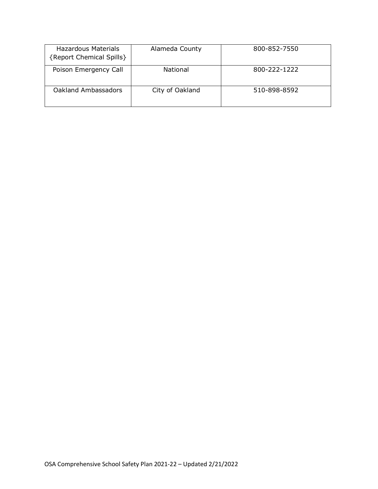| <b>Hazardous Materials</b><br>{Report Chemical Spills} | Alameda County  | 800-852-7550 |
|--------------------------------------------------------|-----------------|--------------|
| Poison Emergency Call                                  | <b>National</b> | 800-222-1222 |
| Oakland Ambassadors                                    | City of Oakland | 510-898-8592 |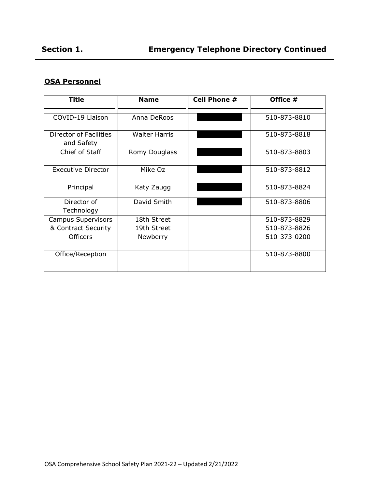# **OSA Personnel**

| <b>Title</b>                         | <b>Name</b>          | <b>Cell Phone #</b> | Office #     |
|--------------------------------------|----------------------|---------------------|--------------|
|                                      |                      |                     |              |
| COVID-19 Liaison                     | Anna DeRoos          |                     | 510-873-8810 |
| Director of Facilities<br>and Safety | <b>Walter Harris</b> |                     | 510-873-8818 |
| Chief of Staff                       | Romy Douglass        |                     | 510-873-8803 |
| Executive Director                   | Mike Oz              |                     | 510-873-8812 |
| Principal                            | Katy Zaugg           |                     | 510-873-8824 |
| Director of<br>Technology            | David Smith          |                     | 510-873-8806 |
| Campus Supervisors                   | 18th Street          |                     | 510-873-8829 |
| & Contract Security                  | 19th Street          |                     | 510-873-8826 |
| <b>Officers</b>                      | Newberry             |                     | 510-373-0200 |
| Office/Reception                     |                      |                     | 510-873-8800 |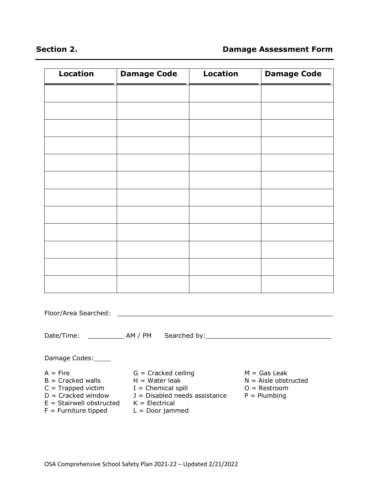# **Section 2. Damage Assessment Form**

| <b>Location</b>                                                                                                 | <b>Damage Code</b>                                                                                                       | Location | <b>Damage Code</b>                                                               |
|-----------------------------------------------------------------------------------------------------------------|--------------------------------------------------------------------------------------------------------------------------|----------|----------------------------------------------------------------------------------|
|                                                                                                                 |                                                                                                                          |          |                                                                                  |
|                                                                                                                 |                                                                                                                          |          |                                                                                  |
|                                                                                                                 |                                                                                                                          |          |                                                                                  |
|                                                                                                                 |                                                                                                                          |          |                                                                                  |
|                                                                                                                 |                                                                                                                          |          |                                                                                  |
|                                                                                                                 |                                                                                                                          |          |                                                                                  |
|                                                                                                                 |                                                                                                                          |          |                                                                                  |
|                                                                                                                 |                                                                                                                          |          |                                                                                  |
|                                                                                                                 |                                                                                                                          |          |                                                                                  |
|                                                                                                                 |                                                                                                                          |          |                                                                                  |
|                                                                                                                 |                                                                                                                          |          |                                                                                  |
|                                                                                                                 |                                                                                                                          |          |                                                                                  |
|                                                                                                                 |                                                                                                                          |          |                                                                                  |
|                                                                                                                 |                                                                                                                          |          | Date/Time: ______________ AM / PM Searched by:__________________________________ |
| Damage Codes:                                                                                                   |                                                                                                                          |          |                                                                                  |
| $A = Fire$<br>$B =$ Cracked walls<br>$C =$ Trapped victim<br>$D =$ Cracked window<br>$E =$ Stairwell obstructed | $G =$ Cracked ceiling<br>$H = Water$ leak<br>$I =$ Chemical spill<br>$J = Disabled$ needs assistance<br>$K = Electrical$ |          | $M = Gas$ Leak<br>$N =$ Aisle obstructed<br>$O =$ Restroom<br>$P =$ Plumbing     |

 $F =$  Furniture tipped  $L =$  Door jammed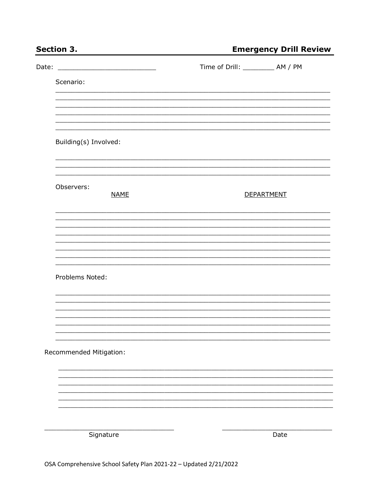| <b>Section 3.</b>         | <b>Emergency Drill Review</b>       |
|---------------------------|-------------------------------------|
| Date:                     | Time of Drill: ____________ AM / PM |
| Scenario:                 |                                     |
|                           |                                     |
|                           |                                     |
| Building(s) Involved:     |                                     |
|                           |                                     |
| Observers:<br><b>NAME</b> | <b>DEPARTMENT</b>                   |
|                           |                                     |
|                           |                                     |
|                           |                                     |
| Problems Noted:           |                                     |
|                           |                                     |
|                           |                                     |
|                           |                                     |
| Recommended Mitigation:   |                                     |
|                           |                                     |
|                           |                                     |
|                           |                                     |
| Signature                 | Date                                |